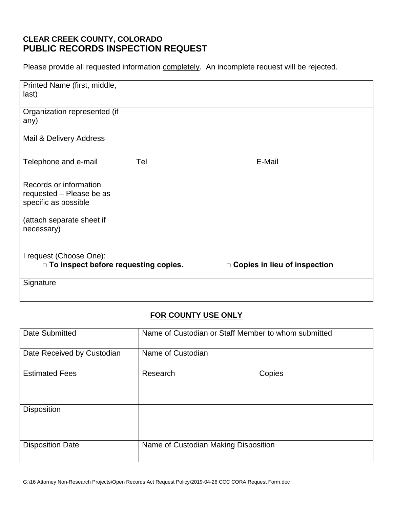# **CLEAR CREEK COUNTY, COLORADO PUBLIC RECORDS INSPECTION REQUEST**

Please provide all requested information completely. An incomplete request will be rejected.

| Printed Name (first, middle,<br>last)                                      |     |                                |
|----------------------------------------------------------------------------|-----|--------------------------------|
| Organization represented (if<br>any)                                       |     |                                |
| Mail & Delivery Address                                                    |     |                                |
| Telephone and e-mail                                                       | Tel | E-Mail                         |
| Records or information<br>requested - Please be as<br>specific as possible |     |                                |
| (attach separate sheet if<br>necessary)                                    |     |                                |
| I request (Choose One):<br>□ To inspect before requesting copies.          |     | □ Copies in lieu of inspection |
| Signature                                                                  |     |                                |

# **FOR COUNTY USE ONLY**

| Date Submitted             | Name of Custodian or Staff Member to whom submitted |        |  |
|----------------------------|-----------------------------------------------------|--------|--|
| Date Received by Custodian | Name of Custodian                                   |        |  |
| <b>Estimated Fees</b>      | Research                                            | Copies |  |
| <b>Disposition</b>         |                                                     |        |  |
| <b>Disposition Date</b>    | Name of Custodian Making Disposition                |        |  |